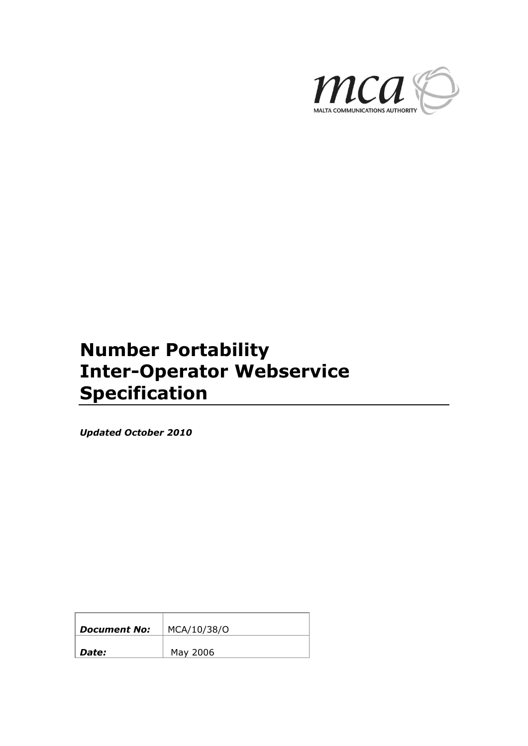

# **Number Portability Inter-Operator Webservice Specification**

*Updated October 2010*

| <b>Document No:</b> | MCA/10/38/0 |
|---------------------|-------------|
| Date:               | May 2006    |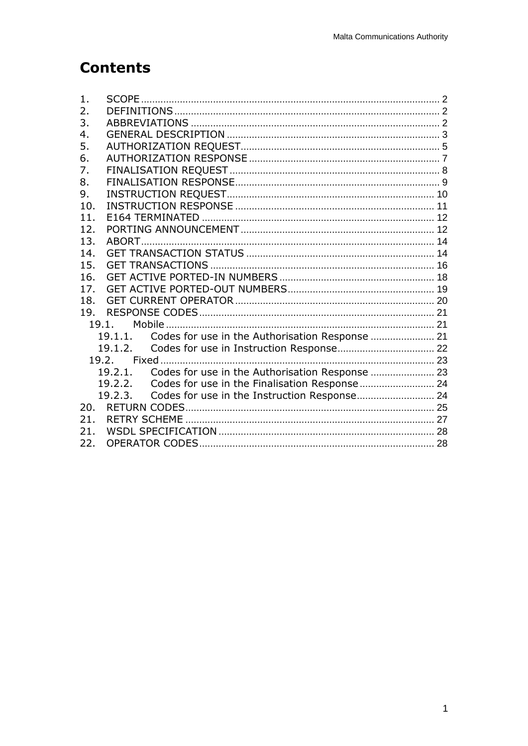## **Contents**

| 1.  |                                                            |  |
|-----|------------------------------------------------------------|--|
| 2.  |                                                            |  |
| 3.  |                                                            |  |
| 4.  |                                                            |  |
| 5.  |                                                            |  |
| 6.  |                                                            |  |
| 7.  |                                                            |  |
| 8.  |                                                            |  |
| 9.  |                                                            |  |
| 10. |                                                            |  |
| 11. |                                                            |  |
| 12. |                                                            |  |
| 13. |                                                            |  |
| 14. |                                                            |  |
| 15. |                                                            |  |
| 16. |                                                            |  |
| 17. |                                                            |  |
| 18. |                                                            |  |
| 19. |                                                            |  |
|     | 19.1.                                                      |  |
|     | 19.1.1.                                                    |  |
|     | 19.1.2.                                                    |  |
|     |                                                            |  |
|     | Codes for use in the Authorisation Response  23<br>19.2.1. |  |
|     | Codes for use in the Finalisation Response 24<br>19.2.2.   |  |
|     | 19.2.3.                                                    |  |
| 20. |                                                            |  |
| 21. |                                                            |  |
| 21. |                                                            |  |
| 22. |                                                            |  |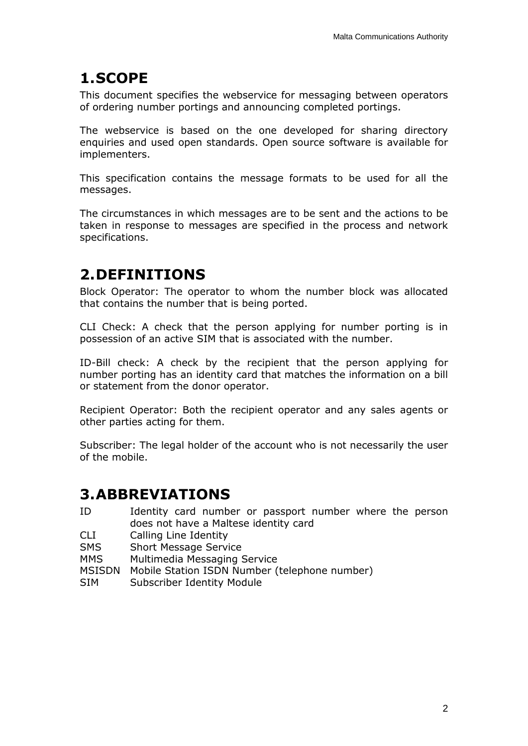## <span id="page-2-0"></span>**1.SCOPE**

This document specifies the webservice for messaging between operators of ordering number portings and announcing completed portings.

The webservice is based on the one developed for sharing directory enquiries and used open standards. Open source software is available for implementers.

This specification contains the message formats to be used for all the messages.

The circumstances in which messages are to be sent and the actions to be taken in response to messages are specified in the process and network specifications.

# <span id="page-2-1"></span>**2.DEFINITIONS**

Block Operator: The operator to whom the number block was allocated that contains the number that is being ported.

CLI Check: A check that the person applying for number porting is in possession of an active SIM that is associated with the number.

ID-Bill check: A check by the recipient that the person applying for number porting has an identity card that matches the information on a bill or statement from the donor operator.

Recipient Operator: Both the recipient operator and any sales agents or other parties acting for them.

Subscriber: The legal holder of the account who is not necessarily the user of the mobile.

## <span id="page-2-2"></span>**3.ABBREVIATIONS**

- ID Identity card number or passport number where the person does not have a Maltese identity card
- CLI Calling Line Identity
- SMS Short Message Service
- MMS Multimedia Messaging Service
- MSISDN Mobile Station ISDN Number (telephone number)
- SIM Subscriber Identity Module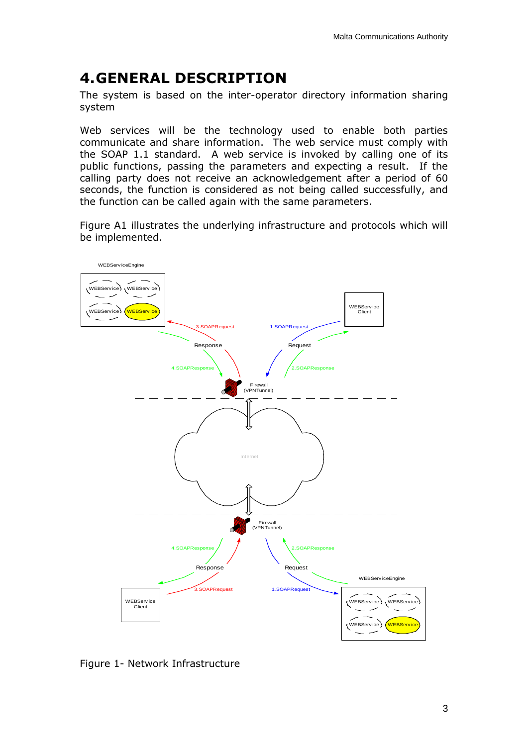## <span id="page-3-0"></span>**4.GENERAL DESCRIPTION**

The system is based on the inter-operator directory information sharing system

Web services will be the technology used to enable both parties communicate and share information. The web service must comply with the SOAP 1.1 standard. A web service is invoked by calling one of its public functions, passing the parameters and expecting a result. If the calling party does not receive an acknowledgement after a period of 60 seconds, the function is considered as not being called successfully, and the function can be called again with the same parameters.

Figure A1 illustrates the underlying infrastructure and protocols which will



Figure 1- Network Infrastructure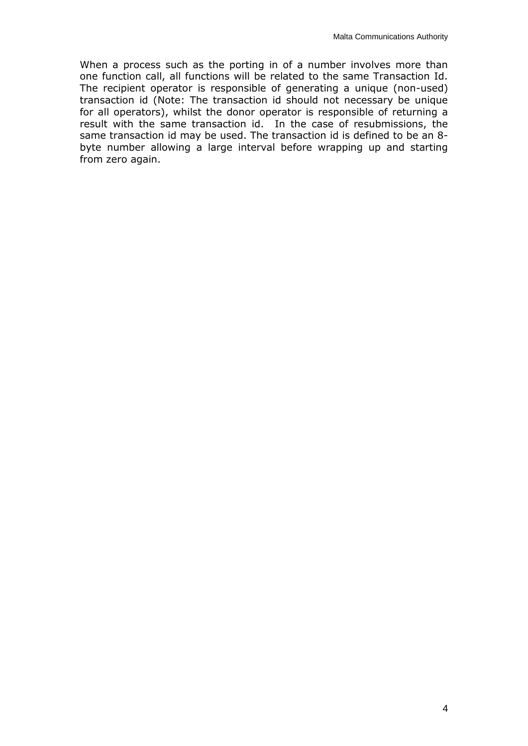When a process such as the porting in of a number involves more than one function call, all functions will be related to the same Transaction Id. The recipient operator is responsible of generating a unique (non-used) transaction id (Note: The transaction id should not necessary be unique for all operators), whilst the donor operator is responsible of returning a result with the same transaction id. In the case of resubmissions, the same transaction id may be used. The transaction id is defined to be an 8 byte number allowing a large interval before wrapping up and starting from zero again.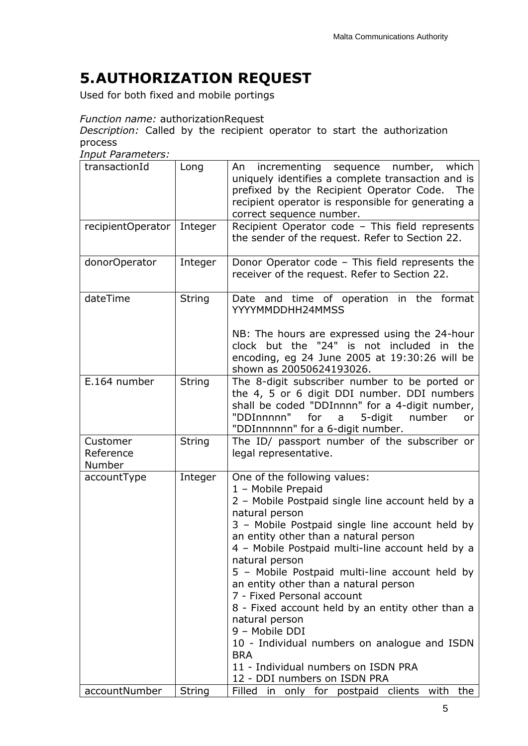# <span id="page-5-0"></span>**5.AUTHORIZATION REQUEST**

Used for both fixed and mobile portings

### *Function name:* authorizationRequest

*Description:* Called by the recipient operator to start the authorization process

*Input Parameters:*

| transactionId                   | Long          | incrementing sequence number, which<br>An<br>uniquely identifies a complete transaction and is<br>prefixed by the Recipient Operator Code.<br>The<br>recipient operator is responsible for generating a<br>correct sequence number.                                                                                                                                                                                                                                                                                                                                                                                                               |
|---------------------------------|---------------|---------------------------------------------------------------------------------------------------------------------------------------------------------------------------------------------------------------------------------------------------------------------------------------------------------------------------------------------------------------------------------------------------------------------------------------------------------------------------------------------------------------------------------------------------------------------------------------------------------------------------------------------------|
| recipientOperator               | Integer       | Recipient Operator code - This field represents<br>the sender of the request. Refer to Section 22.                                                                                                                                                                                                                                                                                                                                                                                                                                                                                                                                                |
| donorOperator                   | Integer       | Donor Operator code - This field represents the<br>receiver of the request. Refer to Section 22.                                                                                                                                                                                                                                                                                                                                                                                                                                                                                                                                                  |
| dateTime                        | <b>String</b> | Date and time of operation in the format<br>YYYYMMDDHH24MMSS<br>NB: The hours are expressed using the 24-hour<br>clock but the "24" is not included in the<br>encoding, eg 24 June 2005 at 19:30:26 will be<br>shown as 20050624193026.                                                                                                                                                                                                                                                                                                                                                                                                           |
| E.164 number                    | <b>String</b> | The 8-digit subscriber number to be ported or<br>the 4, 5 or 6 digit DDI number. DDI numbers<br>shall be coded "DDInnnn" for a 4-digit number,<br>"DDInnnnn"<br>for<br>5-digit<br>number<br>a<br>or<br>"DDInnnnnn" for a 6-digit number.                                                                                                                                                                                                                                                                                                                                                                                                          |
| Customer<br>Reference<br>Number | <b>String</b> | The ID/ passport number of the subscriber or<br>legal representative.                                                                                                                                                                                                                                                                                                                                                                                                                                                                                                                                                                             |
| accountType                     | Integer       | One of the following values:<br>1 - Mobile Prepaid<br>2 - Mobile Postpaid single line account held by a<br>natural person<br>3 - Mobile Postpaid single line account held by<br>an entity other than a natural person<br>4 - Mobile Postpaid multi-line account held by a<br>natural person<br>5 - Mobile Postpaid multi-line account held by<br>an entity other than a natural person<br>7 - Fixed Personal account<br>8 - Fixed account held by an entity other than a<br>natural person<br>9 - Mobile DDI<br>10 - Individual numbers on analogue and ISDN<br><b>BRA</b><br>11 - Individual numbers on ISDN PRA<br>12 - DDI numbers on ISDN PRA |
| accountNumber                   | <b>String</b> | Filled in only for postpaid clients with<br>the                                                                                                                                                                                                                                                                                                                                                                                                                                                                                                                                                                                                   |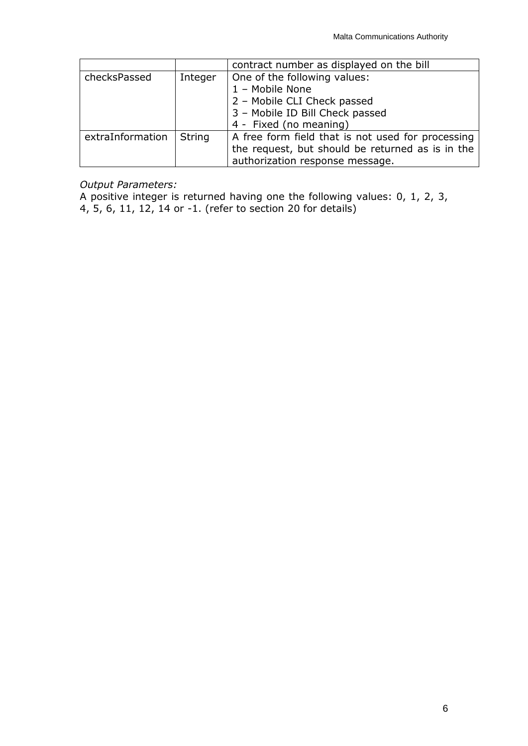|                  |               | contract number as displayed on the bill          |
|------------------|---------------|---------------------------------------------------|
| checksPassed     | Integer       | One of the following values:                      |
|                  |               | 1 - Mobile None                                   |
|                  |               | 2 - Mobile CLI Check passed                       |
|                  |               | 3 - Mobile ID Bill Check passed                   |
|                  |               | 4 - Fixed (no meaning)                            |
| extraInformation | <b>String</b> | A free form field that is not used for processing |
|                  |               | the request, but should be returned as is in the  |
|                  |               | authorization response message.                   |

#### *Output Parameters:*

A positive integer is returned having one the following values: 0, 1, 2, 3, 4, 5, 6, 11, 12, 14 or -1. (refer to section [20](#page-24-2) for details)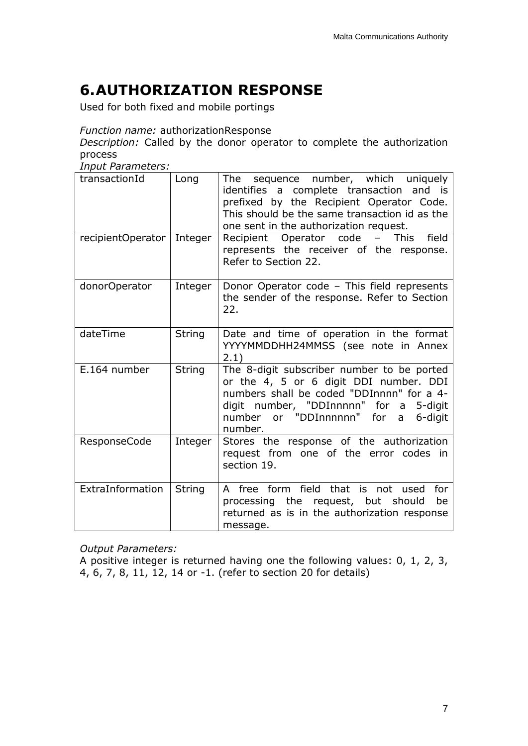# <span id="page-7-0"></span>**6.AUTHORIZATION RESPONSE**

Used for both fixed and mobile portings

*Function name:* authorizationResponse

*Description:* Called by the donor operator to complete the authorization process

*Input Parameters:*

| transactionId       | Long          | The sequence number, which uniquely<br>identifies a complete transaction and is<br>prefixed by the Recipient Operator Code.<br>This should be the same transaction id as the<br>one sent in the authorization request.           |
|---------------------|---------------|----------------------------------------------------------------------------------------------------------------------------------------------------------------------------------------------------------------------------------|
| recipientOperator   | Integer       | Recipient Operator code<br>– This<br>field<br>represents the receiver of the response.<br>Refer to Section 22.                                                                                                                   |
| donorOperator       | Integer       | Donor Operator code - This field represents<br>the sender of the response. Refer to Section<br>22.                                                                                                                               |
| dateTime            | <b>String</b> | Date and time of operation in the format<br>YYYYMMDDHH24MMSS (see note in Annex<br>2.1)                                                                                                                                          |
| E.164 number        | <b>String</b> | The 8-digit subscriber number to be ported<br>or the 4, 5 or 6 digit DDI number. DDI<br>numbers shall be coded "DDInnnn" for a 4-<br>digit number, "DDInnnnn" for a 5-digit<br>number or "DDInnnnnn" for a<br>6-digit<br>number. |
| <b>ResponseCode</b> | Integer       | Stores the response of the authorization<br>request from one of the error codes in<br>section 19.                                                                                                                                |
| ExtraInformation    | String        | A free form field that is not used<br>for<br>processing the request, but should<br>be<br>returned as is in the authorization response<br>message.                                                                                |

*Output Parameters:*

A positive integer is returned having one the following values: 0, 1, 2, 3, 4, 6, 7, 8, 11, 12, 14 or -1. (refer to section [20](#page-24-2) for details)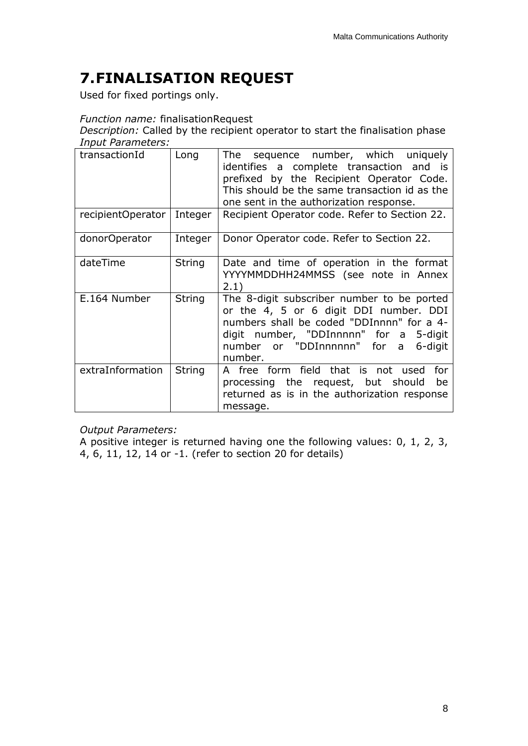# <span id="page-8-0"></span>**7.FINALISATION REQUEST**

Used for fixed portings only.

#### *Function name:* finalisationRequest

*Description:* Called by the recipient operator to start the finalisation phase *Input Parameters:*

| transactionId     | Long    | sequence number, which uniquely<br>The<br>identifies a complete transaction and is<br>prefixed by the Recipient Operator Code.<br>This should be the same transaction id as the<br>one sent in the authorization response.                |
|-------------------|---------|-------------------------------------------------------------------------------------------------------------------------------------------------------------------------------------------------------------------------------------------|
| recipientOperator | Integer | Recipient Operator code. Refer to Section 22.                                                                                                                                                                                             |
| donorOperator     | Integer | Donor Operator code. Refer to Section 22.                                                                                                                                                                                                 |
| dateTime          | String  | Date and time of operation in the format<br>YYYYMMDDHH24MMSS (see note in Annex<br>2.1)                                                                                                                                                   |
| E.164 Number      | String  | The 8-digit subscriber number to be ported<br>or the 4, 5 or 6 digit DDI number. DDI<br>numbers shall be coded "DDInnnn" for a 4-<br>digit number, "DDInnnnn" for a<br>5-digit<br>number or "DDInnnnnn"<br>for<br>6-digit<br>a<br>number. |
| extraInformation  | String  | A free form field that is not used<br>for<br>processing the request, but should<br>be<br>returned as is in the authorization response<br>message.                                                                                         |

*Output Parameters:*

A positive integer is returned having one the following values: 0, 1, 2, 3, 4, 6, 11, 12, 14 or -1. (refer to section [20](#page-24-2) for details)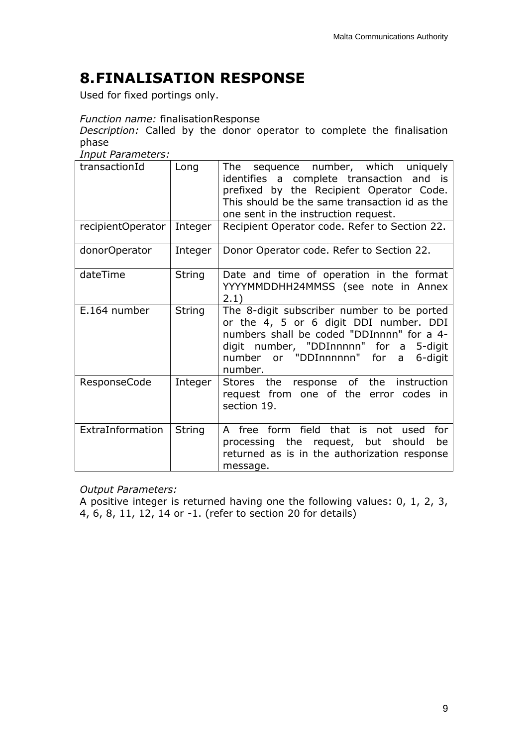# <span id="page-9-0"></span>**8.FINALISATION RESPONSE**

Used for fixed portings only.

### *Function name:* finalisationResponse

*Description:* Called by the donor operator to complete the finalisation phase

*Input Parameters:*

| transactionId       | Long          | The sequence number, which uniquely<br>identifies a complete transaction and is<br>prefixed by the Recipient Operator Code.<br>This should be the same transaction id as the<br>one sent in the instruction request.                   |
|---------------------|---------------|----------------------------------------------------------------------------------------------------------------------------------------------------------------------------------------------------------------------------------------|
| recipientOperator   | Integer       | Recipient Operator code. Refer to Section 22.                                                                                                                                                                                          |
| donorOperator       | Integer       | Donor Operator code. Refer to Section 22.                                                                                                                                                                                              |
| dateTime            | String        | Date and time of operation in the format<br>YYYYMMDDHH24MMSS (see note in Annex<br>2.1)                                                                                                                                                |
| E.164 number        | String        | The 8-digit subscriber number to be ported<br>or the 4, 5 or 6 digit DDI number. DDI<br>numbers shall be coded "DDInnnn" for a 4-<br>digit number, "DDInnnnn" for a<br>5-digit<br>number or "DDInnnnnn" for<br>6-digit<br>a<br>number. |
| <b>ResponseCode</b> | Integer       | Stores the response of the instruction<br>request from one of the error codes in<br>section 19.                                                                                                                                        |
| ExtraInformation    | <b>String</b> | A free form field that is not used<br>for<br>processing the request, but should<br>be<br>returned as is in the authorization response<br>message.                                                                                      |

### *Output Parameters:*

A positive integer is returned having one the following values: 0, 1, 2, 3, 4, 6, 8, 11, 12, 14 or -1. (refer to section [20](#page-24-2) for details)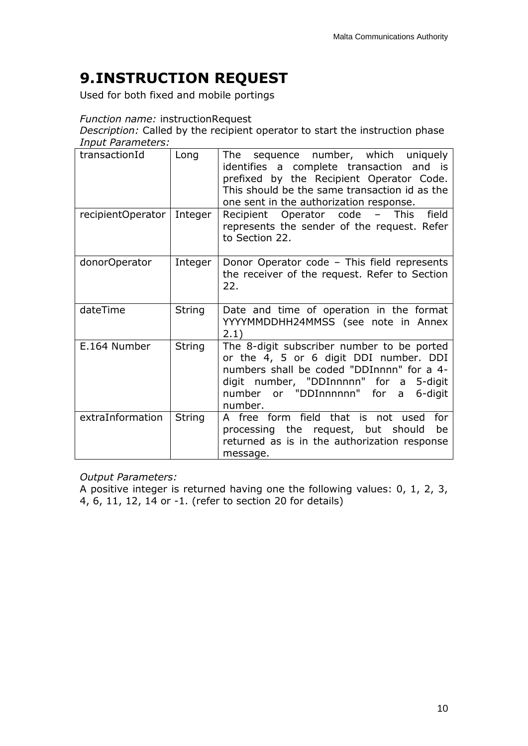# <span id="page-10-0"></span>**9.INSTRUCTION REQUEST**

Used for both fixed and mobile portings

### *Function name:* instructionRequest

*Description:* Called by the recipient operator to start the instruction phase *Input Parameters:*

| transactionId     | Long          | The sequence number, which uniquely<br>identifies a complete transaction and is<br>prefixed by the Recipient Operator Code.<br>This should be the same transaction id as the<br>one sent in the authorization response.             |
|-------------------|---------------|-------------------------------------------------------------------------------------------------------------------------------------------------------------------------------------------------------------------------------------|
| recipientOperator | Integer       | Recipient Operator code<br>– This<br>field<br>represents the sender of the request. Refer<br>to Section 22.                                                                                                                         |
| donorOperator     | Integer       | Donor Operator code - This field represents<br>the receiver of the request. Refer to Section<br>22.                                                                                                                                 |
| dateTime          | String        | Date and time of operation in the format<br>YYYYMMDDHH24MMSS (see note in Annex<br>2.1)                                                                                                                                             |
| E.164 Number      | <b>String</b> | The 8-digit subscriber number to be ported<br>or the 4, 5 or 6 digit DDI number. DDI<br>numbers shall be coded "DDInnnn" for a 4-<br>digit number, "DDInnnnn" for a<br>5-digit<br>number or "DDInnnnnn" for a<br>6-digit<br>number. |
| extraInformation  | <b>String</b> | A free form field that is not used for<br>processing the request, but should<br>be<br>returned as is in the authorization response<br>message.                                                                                      |

*Output Parameters:*

A positive integer is returned having one the following values: 0, 1, 2, 3, 4, 6, 11, 12, 14 or -1. (refer to section [20](#page-24-2) for details)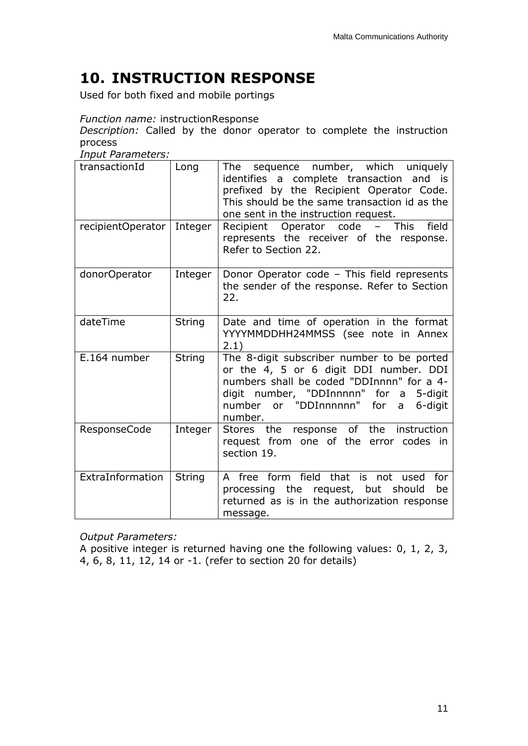# <span id="page-11-0"></span>**10. INSTRUCTION RESPONSE**

Used for both fixed and mobile portings

### *Function name:* instructionResponse

*Description:* Called by the donor operator to complete the instruction process

*Input Parameters:*

| transactionId       | Long          | The sequence number, which uniquely<br>identifies a complete transaction and is<br>prefixed by the Recipient Operator Code.<br>This should be the same transaction id as the<br>one sent in the instruction request.                              |
|---------------------|---------------|---------------------------------------------------------------------------------------------------------------------------------------------------------------------------------------------------------------------------------------------------|
| recipientOperator   | Integer       | Recipient Operator code - This<br>field<br>represents the receiver of the response.<br>Refer to Section 22.                                                                                                                                       |
| donorOperator       | Integer       | Donor Operator code - This field represents<br>the sender of the response. Refer to Section<br>22.                                                                                                                                                |
| dateTime            | String        | Date and time of operation in the format<br>YYYYMMDDHH24MMSS (see note in Annex<br>2.1)                                                                                                                                                           |
| E.164 number        | <b>String</b> | The 8-digit subscriber number to be ported<br>or the 4, 5 or 6 digit DDI number. DDI<br>numbers shall be coded "DDInnnn" for a 4-<br>digit number, "DDInnnnn" for a<br>5-digit<br>number or "DDInnnnnn" for<br>6-digit<br>$\mathsf{a}$<br>number. |
| <b>ResponseCode</b> | Integer       | response of the<br>instruction<br>the<br>Stores<br>request from one of the error codes in<br>section 19.                                                                                                                                          |
| ExtraInformation    | String        | A free form field that is not used<br>for<br>processing the request, but should<br>be<br>returned as is in the authorization response<br>message.                                                                                                 |

*Output Parameters:*

A positive integer is returned having one the following values: 0, 1, 2, 3, 4, 6, 8, 11, 12, 14 or -1. (refer to section [20](#page-24-2) for details)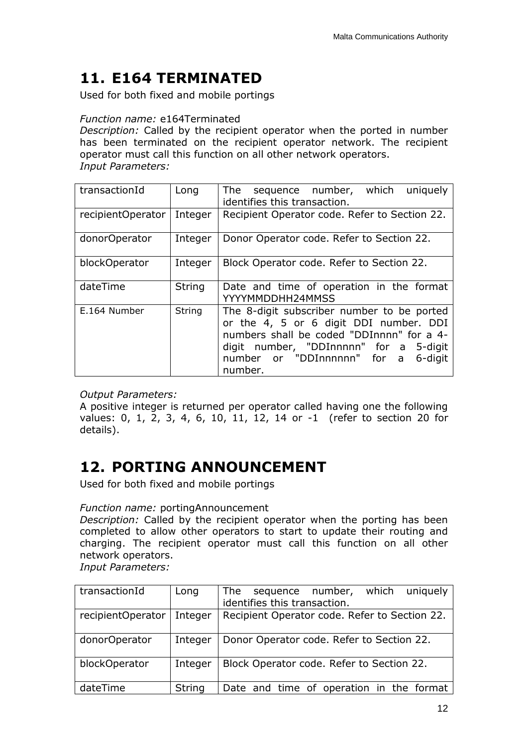## <span id="page-12-0"></span>**11. E164 TERMINATED**

Used for both fixed and mobile portings

### *Function name:* e164Terminated

*Description:* Called by the recipient operator when the ported in number has been terminated on the recipient operator network. The recipient operator must call this function on all other network operators. *Input Parameters:*

| transactionId     | Long          | sequence number, which uniquely<br>The<br>identifies this transaction.                                                                                                                                                           |
|-------------------|---------------|----------------------------------------------------------------------------------------------------------------------------------------------------------------------------------------------------------------------------------|
| recipientOperator | Integer       | Recipient Operator code. Refer to Section 22.                                                                                                                                                                                    |
| donorOperator     | Integer       | Donor Operator code. Refer to Section 22.                                                                                                                                                                                        |
| blockOperator     | Integer       | Block Operator code. Refer to Section 22.                                                                                                                                                                                        |
| dateTime          | <b>String</b> | Date and time of operation in the format<br>YYYYMMDDHH24MMSS                                                                                                                                                                     |
| E.164 Number      | String        | The 8-digit subscriber number to be ported<br>or the 4, 5 or 6 digit DDI number. DDI<br>numbers shall be coded "DDInnnn" for a 4-<br>digit number, "DDInnnnn" for a 5-digit<br>number or "DDInnnnnn" for a<br>6-digit<br>number. |

### *Output Parameters:*

A positive integer is returned per operator called having one the following values: 0, 1, 2, 3, 4, 6, 10, 11, 12, 14 or -1 (refer to section [20](#page-24-2) for details).

## <span id="page-12-1"></span>**12. PORTING ANNOUNCEMENT**

Used for both fixed and mobile portings

### *Function name:* portingAnnouncement

*Description:* Called by the recipient operator when the porting has been completed to allow other operators to start to update their routing and charging. The recipient operator must call this function on all other network operators.

*Input Parameters:*

| transactionId     | Long          | which<br>uniquely<br>number,<br>The sequence  |
|-------------------|---------------|-----------------------------------------------|
|                   |               | identifies this transaction.                  |
| recipientOperator | Integer       | Recipient Operator code. Refer to Section 22. |
|                   |               |                                               |
| donorOperator     | Integer       | Donor Operator code. Refer to Section 22.     |
|                   |               |                                               |
| blockOperator     | Integer       | Block Operator code. Refer to Section 22.     |
|                   |               |                                               |
| dateTime          | <b>String</b> | Date and time of operation in the format      |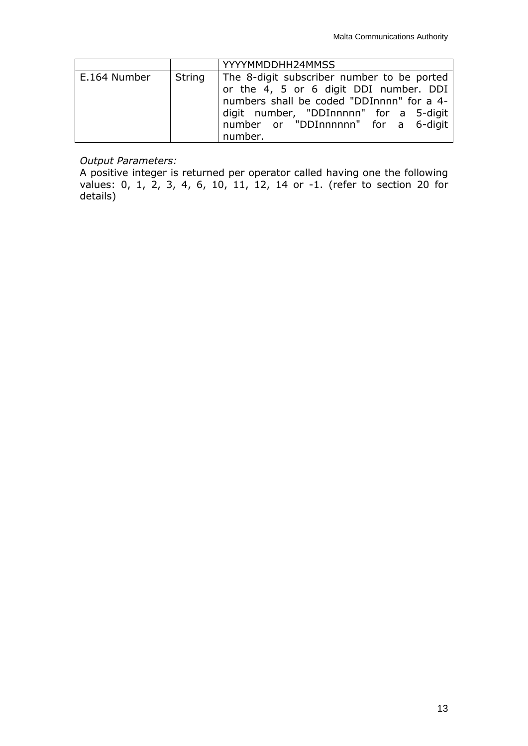|              |        | YYYYMMDDHH24MMSS                                                                                                                                                                                                              |
|--------------|--------|-------------------------------------------------------------------------------------------------------------------------------------------------------------------------------------------------------------------------------|
| E.164 Number | String | The 8-digit subscriber number to be ported<br>or the 4, 5 or 6 digit DDI number. DDI<br>numbers shall be coded "DDInnnn" for a 4-<br>digit number, "DDInnnnn" for a 5-digit<br>number or "DDInnnnnn" for a 6-digit<br>number. |

### *Output Parameters:*

A positive integer is returned per operator called having one the following values: 0, 1, 2, 3, 4, 6, 10, 11, 12, 14 or -1. (refer to section [20](#page-24-2) for details)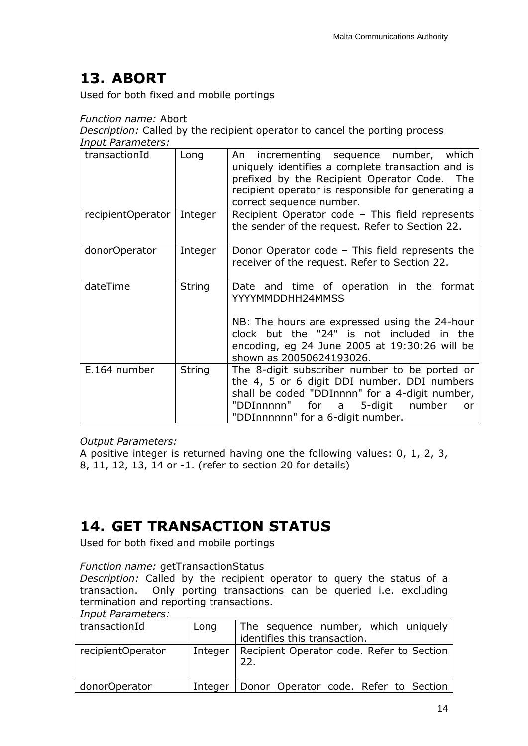# <span id="page-14-0"></span>**13. ABORT**

Used for both fixed and mobile portings

### *Function name:* Abort

*Description:* Called by the recipient operator to cancel the porting process *Input Parameters:*

| transactionId     | Long          | An incrementing sequence number, which<br>uniquely identifies a complete transaction and is<br>prefixed by the Recipient Operator Code. The<br>recipient operator is responsible for generating a<br>correct sequence number.           |
|-------------------|---------------|-----------------------------------------------------------------------------------------------------------------------------------------------------------------------------------------------------------------------------------------|
| recipientOperator | Integer       | Recipient Operator code - This field represents<br>the sender of the request. Refer to Section 22.                                                                                                                                      |
| donorOperator     | Integer       | Donor Operator code - This field represents the<br>receiver of the request. Refer to Section 22.                                                                                                                                        |
| dateTime          | <b>String</b> | Date and time of operation in the format<br>YYYYMMDDHH24MMSS<br>NB: The hours are expressed using the 24-hour<br>clock but the "24" is not included in the<br>encoding, eg 24 June 2005 at 19:30:26 will be<br>shown as 20050624193026. |
| E.164 number      | <b>String</b> | The 8-digit subscriber number to be ported or<br>the 4, 5 or 6 digit DDI number. DDI numbers<br>shall be coded "DDInnnn" for a 4-digit number,<br>"DDInnnnn" for a<br>5-digit<br>number<br>or<br>"DDInnnnnn" for a 6-digit number.      |

*Output Parameters:*

A positive integer is returned having one the following values: 0, 1, 2, 3, 8, 11, 12, 13, 14 or -1. (refer to section [20](#page-24-2) for details)

## <span id="page-14-1"></span>**14. GET TRANSACTION STATUS**

Used for both fixed and mobile portings

### *Function name:* getTransactionStatus

*Description:* Called by the recipient operator to query the status of a transaction. Only porting transactions can be queried i.e. excluding termination and reporting transactions.

#### *Input Parameters:*

| transactionId     | Long    | The sequence number, which uniquely<br>identifies this transaction. |
|-------------------|---------|---------------------------------------------------------------------|
| recipientOperator | Integer | Recipient Operator code. Refer to Section<br>22                     |
| donorOperator     | Integer | Donor Operator code. Refer to Section                               |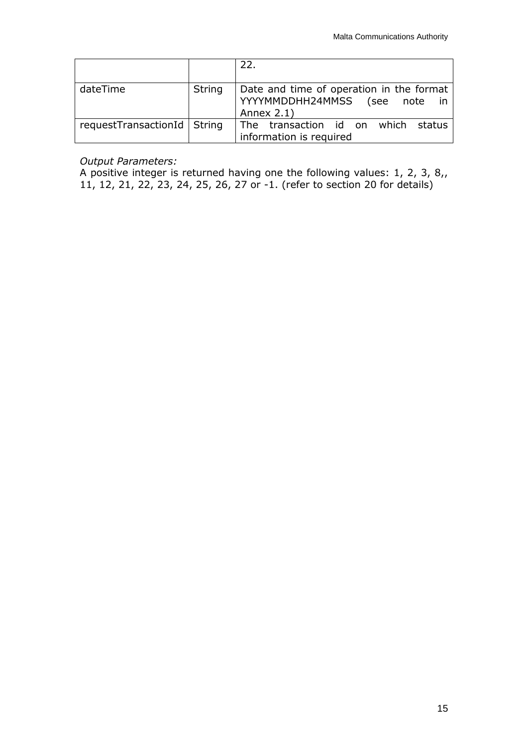|                               |        | 22.                                                                                                |
|-------------------------------|--------|----------------------------------------------------------------------------------------------------|
| dateTime                      | String | Date and time of operation in the format<br>YYYYMMDDHH24MMSS (see<br>- in<br>note<br>Annex $2.1$ ) |
| requestTransactionId   String |        | The transaction id on which<br>status<br>information is required                                   |

### *Output Parameters:*

A positive integer is returned having one the following values: 1, 2, 3, 8,, 11, 12, 21, 22, 23, 24, 25, 26, 27 or -1. (refer to section [20](#page-24-2) for details)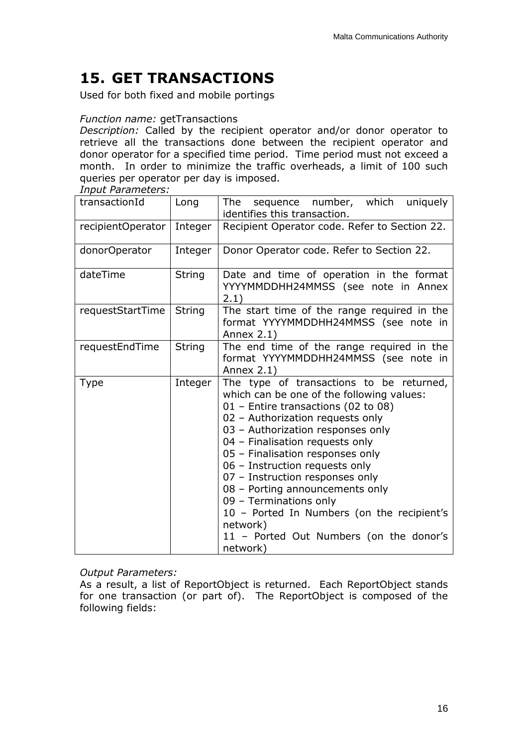# <span id="page-16-0"></span>**15. GET TRANSACTIONS**

Used for both fixed and mobile portings

### *Function name:* getTransactions

*Description:* Called by the recipient operator and/or donor operator to retrieve all the transactions done between the recipient operator and donor operator for a specified time period. Time period must not exceed a month. In order to minimize the traffic overheads, a limit of 100 such queries per operator per day is imposed.

*Input Parameters:*

| transactionId     | Long          | The sequence number, which uniquely<br>identifies this transaction.                                                                                                                                                                                                                                                                                                                                                                                                                                                             |  |
|-------------------|---------------|---------------------------------------------------------------------------------------------------------------------------------------------------------------------------------------------------------------------------------------------------------------------------------------------------------------------------------------------------------------------------------------------------------------------------------------------------------------------------------------------------------------------------------|--|
| recipientOperator | Integer       | Recipient Operator code. Refer to Section 22.                                                                                                                                                                                                                                                                                                                                                                                                                                                                                   |  |
| donorOperator     | Integer       | Donor Operator code. Refer to Section 22.                                                                                                                                                                                                                                                                                                                                                                                                                                                                                       |  |
| dateTime          | <b>String</b> | Date and time of operation in the format<br>YYYYMMDDHH24MMSS (see note in Annex<br>2.1)                                                                                                                                                                                                                                                                                                                                                                                                                                         |  |
| requestStartTime  | <b>String</b> | The start time of the range required in the<br>format YYYYMMDDHH24MMSS (see note in<br>Annex $2.1$ )                                                                                                                                                                                                                                                                                                                                                                                                                            |  |
| requestEndTime    | <b>String</b> | The end time of the range required in the<br>format YYYYMMDDHH24MMSS (see note in<br>Annex 2.1)                                                                                                                                                                                                                                                                                                                                                                                                                                 |  |
| <b>Type</b>       | Integer       | The type of transactions to be returned,<br>which can be one of the following values:<br>01 - Entire transactions (02 to 08)<br>02 - Authorization requests only<br>03 - Authorization responses only<br>04 - Finalisation requests only<br>05 - Finalisation responses only<br>06 - Instruction requests only<br>07 - Instruction responses only<br>08 - Porting announcements only<br>09 - Terminations only<br>10 - Ported In Numbers (on the recipient's<br>network)<br>11 - Ported Out Numbers (on the donor's<br>network) |  |

### *Output Parameters:*

As a result, a list of ReportObject is returned. Each ReportObject stands for one transaction (or part of). The ReportObject is composed of the following fields: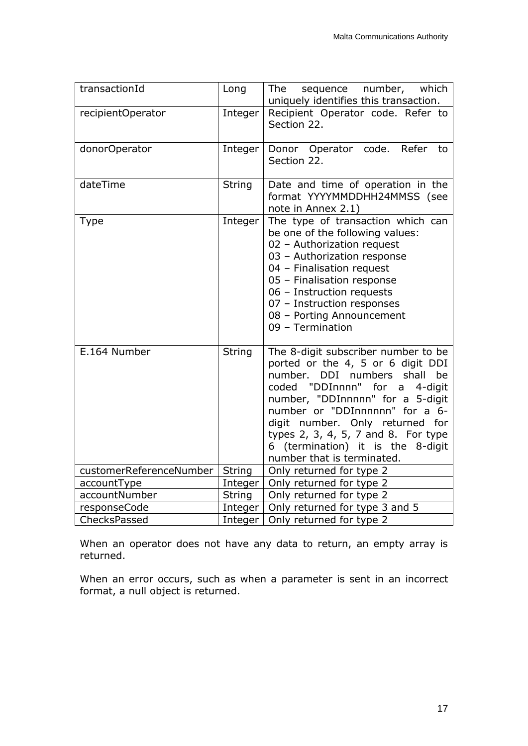| transactionId           | Long          | The<br>sequence number, which<br>uniquely identifies this transaction.                                                                                                                                                                                                                                                                                                |
|-------------------------|---------------|-----------------------------------------------------------------------------------------------------------------------------------------------------------------------------------------------------------------------------------------------------------------------------------------------------------------------------------------------------------------------|
| recipientOperator       | Integer       | Recipient Operator code. Refer to<br>Section 22.                                                                                                                                                                                                                                                                                                                      |
| donorOperator           | Integer       | Donor Operator code. Refer to<br>Section 22.                                                                                                                                                                                                                                                                                                                          |
| dateTime                | <b>String</b> | Date and time of operation in the<br>format YYYYMMDDHH24MMSS (see<br>note in Annex 2.1)                                                                                                                                                                                                                                                                               |
| <b>Type</b>             | Integer       | The type of transaction which can<br>be one of the following values:<br>02 - Authorization request<br>03 - Authorization response<br>04 - Finalisation request<br>05 - Finalisation response<br>06 - Instruction requests<br>07 - Instruction responses<br>08 - Porting Announcement<br>09 - Termination                                                              |
| E.164 Number            | <b>String</b> | The 8-digit subscriber number to be<br>ported or the 4, 5 or 6 digit DDI<br>number. DDI numbers<br>shall<br>be<br>coded "DDInnnn" for a<br>4-digit<br>number, "DDInnnnn" for a 5-digit<br>number or "DDInnnnnn" for a 6-<br>digit number. Only returned for<br>types 2, 3, 4, 5, 7 and 8. For type<br>6 (termination) it is the 8-digit<br>number that is terminated. |
| customerReferenceNumber | <b>String</b> | Only returned for type 2                                                                                                                                                                                                                                                                                                                                              |
| accountType             | Integer       | Only returned for type 2                                                                                                                                                                                                                                                                                                                                              |
| accountNumber           | <b>String</b> | Only returned for type 2                                                                                                                                                                                                                                                                                                                                              |
| responseCode            | Integer       | Only returned for type 3 and 5                                                                                                                                                                                                                                                                                                                                        |
| ChecksPassed            | Integer       | Only returned for type 2                                                                                                                                                                                                                                                                                                                                              |

When an operator does not have any data to return, an empty array is returned.

When an error occurs, such as when a parameter is sent in an incorrect format, a null object is returned.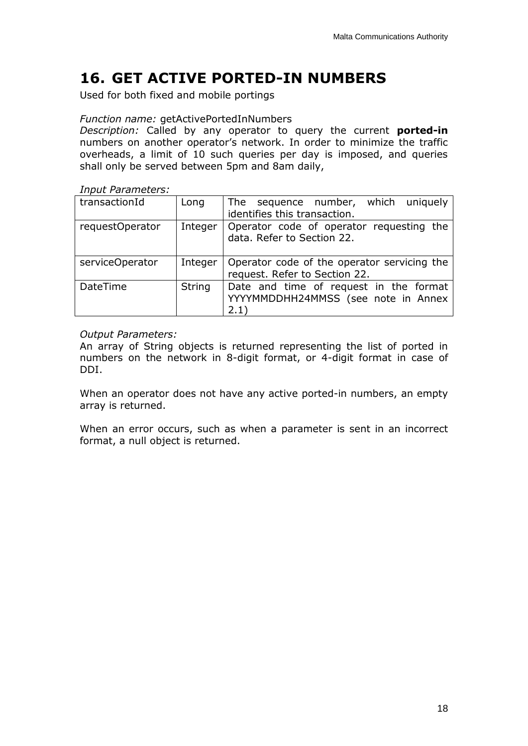## <span id="page-18-0"></span>**16. GET ACTIVE PORTED-IN NUMBERS**

Used for both fixed and mobile portings

#### *Function name:* getActivePortedInNumbers

*Description:* Called by any operator to query the current **ported-in** numbers on another operator's network. In order to minimize the traffic overheads, a limit of 10 such queries per day is imposed, and queries shall only be served between 5pm and 8am daily,

*Input Parameters:*

| transactionId   | Long          | The sequence number, which uniquely<br>identifies this transaction.                    |
|-----------------|---------------|----------------------------------------------------------------------------------------|
| requestOperator | Integer       | Operator code of operator requesting the<br>data. Refer to Section 22.                 |
| serviceOperator | Integer       | Operator code of the operator servicing the<br>request. Refer to Section 22.           |
| DateTime        | <b>String</b> | Date and time of request in the format<br>YYYYMMDDHH24MMSS (see note in Annex<br>(2.1) |

#### *Output Parameters:*

An array of String objects is returned representing the list of ported in numbers on the network in 8-digit format, or 4-digit format in case of DDI.

When an operator does not have any active ported-in numbers, an empty array is returned.

When an error occurs, such as when a parameter is sent in an incorrect format, a null object is returned.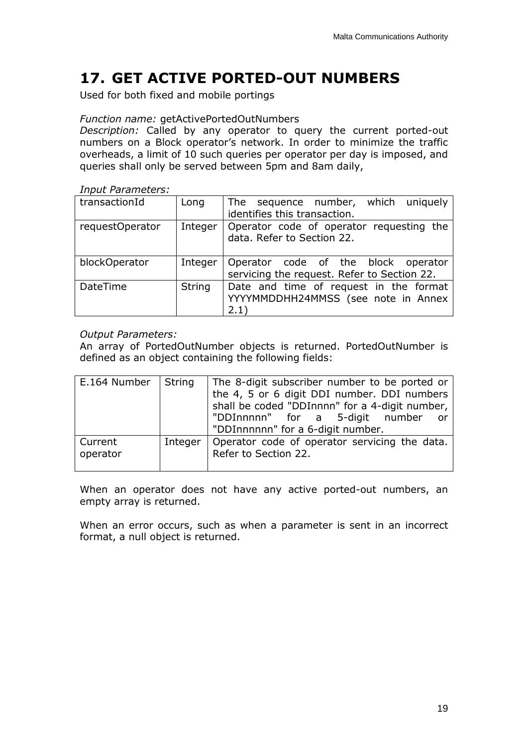## <span id="page-19-0"></span>**17. GET ACTIVE PORTED-OUT NUMBERS**

Used for both fixed and mobile portings

#### *Function name:* getActivePortedOutNumbers

*Description:* Called by any operator to query the current ported-out numbers on a Block operator's network. In order to minimize the traffic overheads, a limit of 10 such queries per operator per day is imposed, and queries shall only be served between 5pm and 8am daily,

*Input Parameters:*

| transactionId   | Long          | The sequence number, which uniquely         |
|-----------------|---------------|---------------------------------------------|
|                 |               | identifies this transaction.                |
| requestOperator | Integer       | Operator code of operator requesting the    |
|                 |               | data. Refer to Section 22.                  |
|                 |               |                                             |
| blockOperator   | Integer       | Operator code of the block operator         |
|                 |               | servicing the request. Refer to Section 22. |
| DateTime        | <b>String</b> | Date and time of request in the format      |
|                 |               | YYYYMMDDHH24MMSS (see note in Annex         |
|                 |               | 2.1)                                        |

#### *Output Parameters:*

An array of PortedOutNumber objects is returned. PortedOutNumber is defined as an object containing the following fields:

| E.164 Number        | String  | The 8-digit subscriber number to be ported or<br>the 4, 5 or 6 digit DDI number. DDI numbers<br>shall be coded "DDInnnn" for a 4-digit number,<br>"DDInnnnn" for a 5-digit number<br><b>or</b><br>"DDInnnnnn" for a 6-digit number. |
|---------------------|---------|-------------------------------------------------------------------------------------------------------------------------------------------------------------------------------------------------------------------------------------|
| Current<br>operator | Integer | Operator code of operator servicing the data.<br>Refer to Section 22.                                                                                                                                                               |

When an operator does not have any active ported-out numbers, an empty array is returned.

When an error occurs, such as when a parameter is sent in an incorrect format, a null object is returned.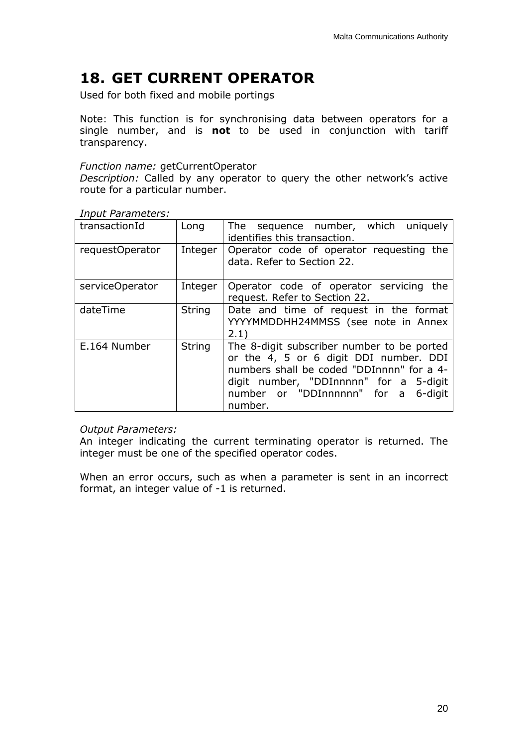## <span id="page-20-0"></span>**18. GET CURRENT OPERATOR**

Used for both fixed and mobile portings

Note: This function is for synchronising data between operators for a single number, and is **not** to be used in conjunction with tariff transparency.

#### *Function name:* getCurrentOperator

*Description:* Called by any operator to query the other network's active route for a particular number.

|  | <b>Input Parameters:</b> |
|--|--------------------------|
|--|--------------------------|

| transactionId   | Long          | The sequence number, which uniquely<br>identifies this transaction.                                                                                                                                                              |
|-----------------|---------------|----------------------------------------------------------------------------------------------------------------------------------------------------------------------------------------------------------------------------------|
| requestOperator | Integer       | Operator code of operator requesting the<br>data. Refer to Section 22.                                                                                                                                                           |
| serviceOperator | Integer       | Operator code of operator servicing<br>the<br>request. Refer to Section 22.                                                                                                                                                      |
| dateTime        | <b>String</b> | Date and time of request in the format<br>YYYYMMDDHH24MMSS (see note in Annex<br>2.1)                                                                                                                                            |
| E.164 Number    | <b>String</b> | The 8-digit subscriber number to be ported<br>or the 4, 5 or 6 digit DDI number. DDI<br>numbers shall be coded "DDInnnn" for a 4-<br>digit number, "DDInnnnn" for a 5-digit<br>number or "DDInnnnnn" for a<br>6-digit<br>number. |

### *Output Parameters:*

An integer indicating the current terminating operator is returned. The integer must be one of the specified operator codes.

<span id="page-20-1"></span>When an error occurs, such as when a parameter is sent in an incorrect format, an integer value of -1 is returned.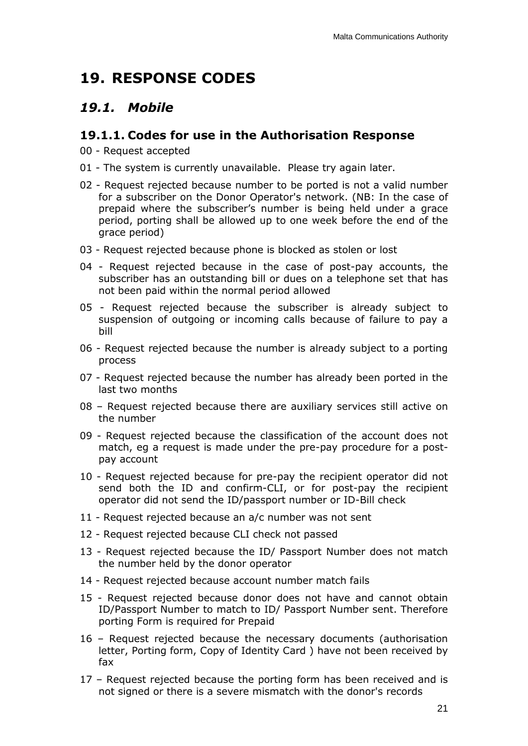## <span id="page-21-0"></span>**19. RESPONSE CODES**

## <span id="page-21-1"></span>*19.1. Mobile*

### <span id="page-21-2"></span>**19.1.1. Codes for use in the Authorisation Response**

- 00 Request accepted
- 01 The system is currently unavailable. Please try again later.
- 02 Request rejected because number to be ported is not a valid number for a subscriber on the Donor Operator's network. (NB: In the case of prepaid where the subscriber's number is being held under a grace period, porting shall be allowed up to one week before the end of the grace period)
- 03 Request rejected because phone is blocked as stolen or lost
- 04 Request rejected because in the case of post-pay accounts, the subscriber has an outstanding bill or dues on a telephone set that has not been paid within the normal period allowed
- 05 Request rejected because the subscriber is already subject to suspension of outgoing or incoming calls because of failure to pay a bill
- 06 Request rejected because the number is already subject to a porting process
- 07 Request rejected because the number has already been ported in the last two months
- 08 Request rejected because there are auxiliary services still active on the number
- 09 Request rejected because the classification of the account does not match, eg a request is made under the pre-pay procedure for a postpay account
- 10 Request rejected because for pre-pay the recipient operator did not send both the ID and confirm-CLI, or for post-pay the recipient operator did not send the ID/passport number or ID-Bill check
- 11 Request rejected because an a/c number was not sent
- 12 Request rejected because CLI check not passed
- 13 Request rejected because the ID/ Passport Number does not match the number held by the donor operator
- 14 Request rejected because account number match fails
- 15 Request rejected because donor does not have and cannot obtain ID/Passport Number to match to ID/ Passport Number sent. Therefore porting Form is required for Prepaid
- 16 Request rejected because the necessary documents (authorisation letter, Porting form, Copy of Identity Card ) have not been received by fax
- 17 Request rejected because the porting form has been received and is not signed or there is a severe mismatch with the donor's records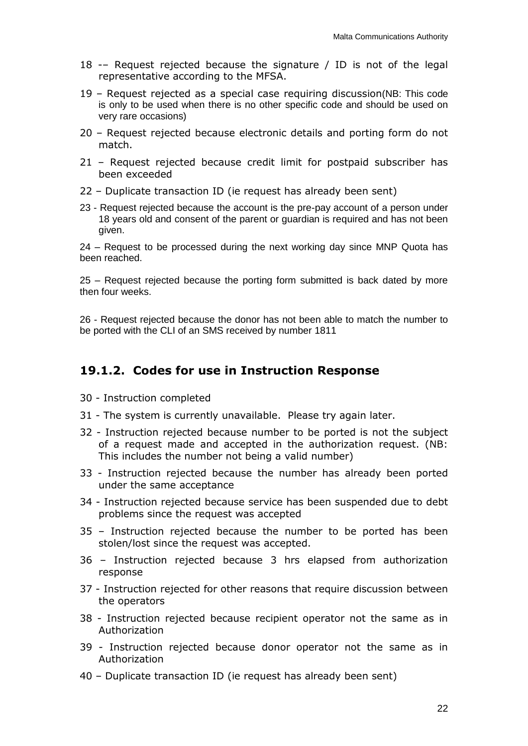- 18 -– Request rejected because the signature / ID is not of the legal representative according to the MFSA.
- 19 Request rejected as a special case requiring discussion(NB: This code is only to be used when there is no other specific code and should be used on very rare occasions)
- 20 Request rejected because electronic details and porting form do not match.
- 21 Request rejected because credit limit for postpaid subscriber has been exceeded
- 22 Duplicate transaction ID (ie request has already been sent)
- 23 Request rejected because the account is the pre-pay account of a person under 18 years old and consent of the parent or guardian is required and has not been given.

24 – Request to be processed during the next working day since MNP Quota has been reached.

25 – Request rejected because the porting form submitted is back dated by more then four weeks.

26 - Request rejected because the donor has not been able to match the number to be ported with the CLI of an SMS received by number 1811

### <span id="page-22-0"></span>**19.1.2. Codes for use in Instruction Response**

- 30 Instruction completed
- 31 The system is currently unavailable. Please try again later.
- 32 Instruction rejected because number to be ported is not the subject of a request made and accepted in the authorization request. (NB: This includes the number not being a valid number)
- 33 Instruction rejected because the number has already been ported under the same acceptance
- 34 Instruction rejected because service has been suspended due to debt problems since the request was accepted
- 35 Instruction rejected because the number to be ported has been stolen/lost since the request was accepted.
- 36 Instruction rejected because 3 hrs elapsed from authorization response
- 37 Instruction rejected for other reasons that require discussion between the operators
- 38 Instruction rejected because recipient operator not the same as in Authorization
- 39 Instruction rejected because donor operator not the same as in Authorization
- 40 Duplicate transaction ID (ie request has already been sent)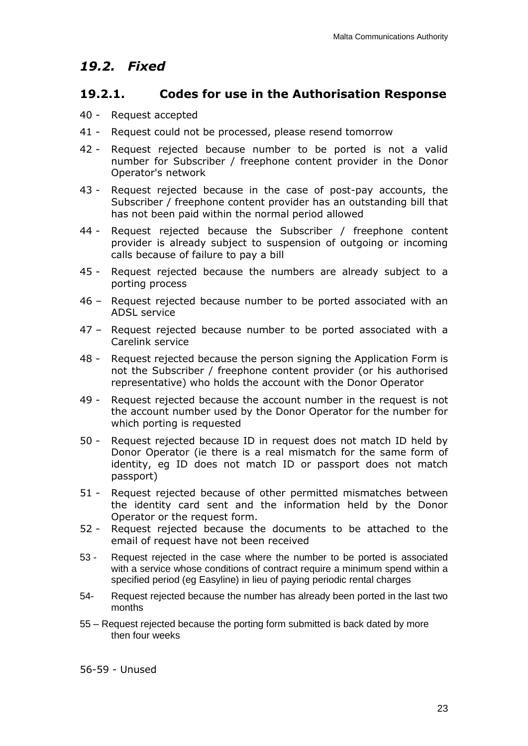### <span id="page-23-0"></span>*19.2. Fixed*

### <span id="page-23-1"></span>**19.2.1. Codes for use in the Authorisation Response**

- 40 Request accepted
- 41 Request could not be processed, please resend tomorrow
- 42 Request rejected because number to be ported is not a valid number for Subscriber / freephone content provider in the Donor Operator's network
- 43 Request rejected because in the case of post-pay accounts, the Subscriber / freephone content provider has an outstanding bill that has not been paid within the normal period allowed
- 44 Request rejected because the Subscriber / freephone content provider is already subject to suspension of outgoing or incoming calls because of failure to pay a bill
- 45 Request rejected because the numbers are already subject to a porting process
- 46 Request rejected because number to be ported associated with an ADSL service
- 47 Request rejected because number to be ported associated with a Carelink service
- 48 Request rejected because the person signing the Application Form is not the Subscriber / freephone content provider (or his authorised representative) who holds the account with the Donor Operator
- 49 Request rejected because the account number in the request is not the account number used by the Donor Operator for the number for which porting is requested
- 50 Request rejected because ID in request does not match ID held by Donor Operator (ie there is a real mismatch for the same form of identity, eg ID does not match ID or passport does not match passport)
- 51 Request rejected because of other permitted mismatches between the identity card sent and the information held by the Donor Operator or the request form.
- 52 Request rejected because the documents to be attached to the email of request have not been received
- 53 Request rejected in the case where the number to be ported is associated with a service whose conditions of contract require a minimum spend within a specified period (eg Easyline) in lieu of paying periodic rental charges
- 54- Request rejected because the number has already been ported in the last two months
- 55 Request rejected because the porting form submitted is back dated by more then four weeks

56-59 - Unused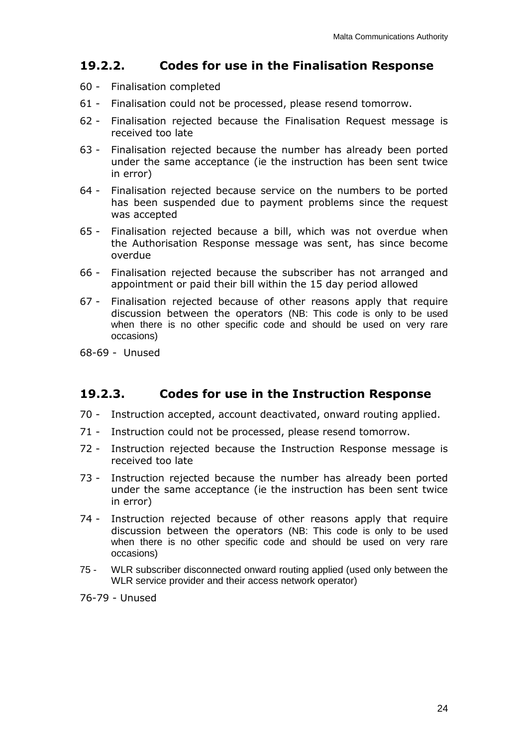### <span id="page-24-0"></span>**19.2.2. Codes for use in the Finalisation Response**

- 60 Finalisation completed
- 61 Finalisation could not be processed, please resend tomorrow.
- 62 Finalisation rejected because the Finalisation Request message is received too late
- 63 Finalisation rejected because the number has already been ported under the same acceptance (ie the instruction has been sent twice in error)
- 64 Finalisation rejected because service on the numbers to be ported has been suspended due to payment problems since the request was accepted
- 65 Finalisation rejected because a bill, which was not overdue when the Authorisation Response message was sent, has since become overdue
- 66 Finalisation rejected because the subscriber has not arranged and appointment or paid their bill within the 15 day period allowed
- 67 Finalisation rejected because of other reasons apply that require discussion between the operators (NB: This code is only to be used when there is no other specific code and should be used on very rare occasions)
- 68-69 Unused

### <span id="page-24-1"></span>**19.2.3. Codes for use in the Instruction Response**

- 70 Instruction accepted, account deactivated, onward routing applied.
- 71 Instruction could not be processed, please resend tomorrow.
- 72 Instruction rejected because the Instruction Response message is received too late
- 73 Instruction rejected because the number has already been ported under the same acceptance (ie the instruction has been sent twice in error)
- 74 Instruction rejected because of other reasons apply that require discussion between the operators (NB: This code is only to be used when there is no other specific code and should be used on very rare occasions)
- 75 WLR subscriber disconnected onward routing applied (used only between the WLR service provider and their access network operator)

<span id="page-24-2"></span>76-79 - Unused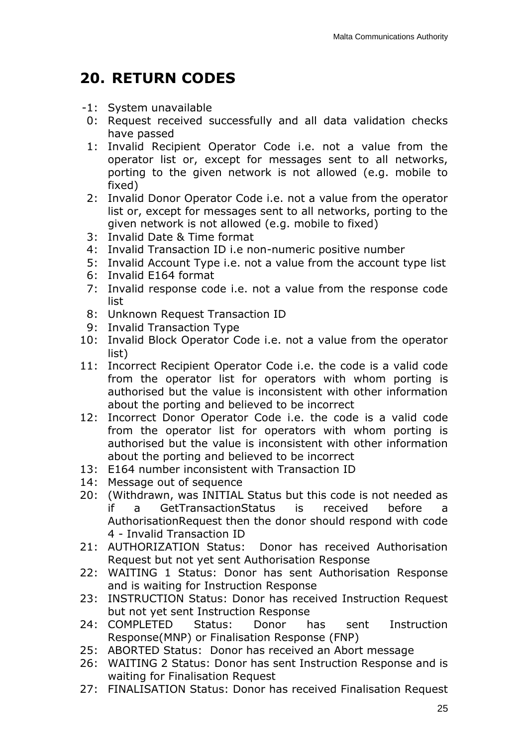## <span id="page-25-0"></span>**20. RETURN CODES**

- -1: System unavailable
- 0: Request received successfully and all data validation checks have passed
- 1: Invalid Recipient Operator Code i.e. not a value from the operator list or, except for messages sent to all networks, porting to the given network is not allowed (e.g. mobile to fixed)
- 2: Invalid Donor Operator Code i.e. not a value from the operator list or, except for messages sent to all networks, porting to the given network is not allowed (e.g. mobile to fixed)
- 3: Invalid Date & Time format
- 4: Invalid Transaction ID i.e non-numeric positive number
- 5: Invalid Account Type i.e. not a value from the account type list
- 6: Invalid E164 format
- 7: Invalid response code i.e. not a value from the response code list
- 8: Unknown Request Transaction ID
- 9: Invalid Transaction Type
- 10: Invalid Block Operator Code i.e. not a value from the operator list)
- 11: Incorrect Recipient Operator Code i.e. the code is a valid code from the operator list for operators with whom porting is authorised but the value is inconsistent with other information about the porting and believed to be incorrect
- 12: Incorrect Donor Operator Code i.e. the code is a valid code from the operator list for operators with whom porting is authorised but the value is inconsistent with other information about the porting and believed to be incorrect
- 13: E164 number inconsistent with Transaction ID
- 14: Message out of sequence
- 20: (Withdrawn, was INITIAL Status but this code is not needed as if a GetTransactionStatus is received before a AuthorisationRequest then the donor should respond with code 4 - Invalid Transaction ID
- 21: AUTHORIZATION Status: Donor has received Authorisation Request but not yet sent Authorisation Response
- 22: WAITING 1 Status: Donor has sent Authorisation Response and is waiting for Instruction Response
- 23: INSTRUCTION Status: Donor has received Instruction Request but not yet sent Instruction Response
- 24: COMPLETED Status: Donor has sent Instruction Response(MNP) or Finalisation Response (FNP)
- 25: ABORTED Status: Donor has received an Abort message
- 26: WAITING 2 Status: Donor has sent Instruction Response and is waiting for Finalisation Request
- 27: FINALISATION Status: Donor has received Finalisation Request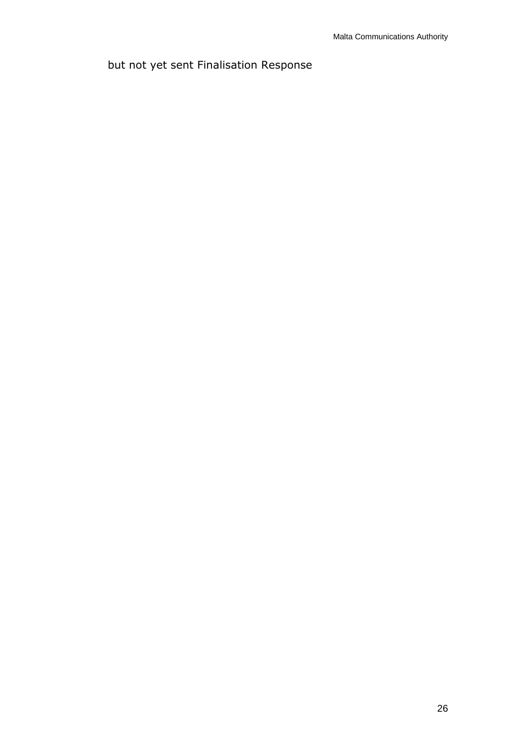## but not yet sent Finalisation Response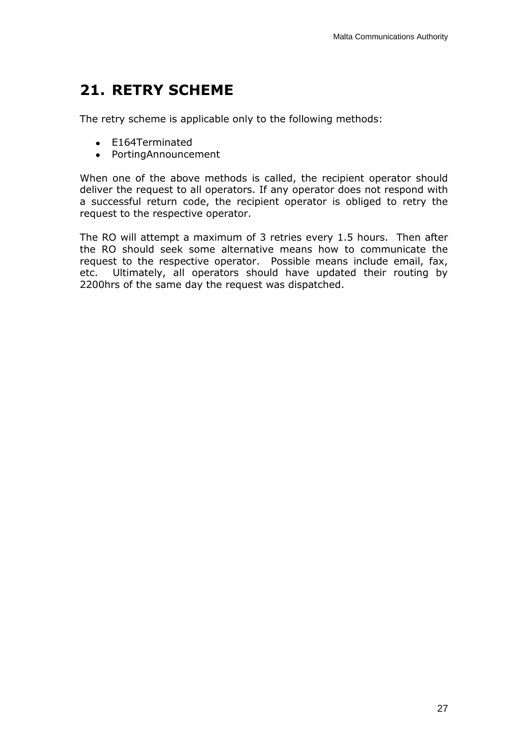## <span id="page-27-0"></span>**21. RETRY SCHEME**

The retry scheme is applicable only to the following methods:

- E164Terminated
- PortingAnnouncement

When one of the above methods is called, the recipient operator should deliver the request to all operators. If any operator does not respond with a successful return code, the recipient operator is obliged to retry the request to the respective operator.

The RO will attempt a maximum of 3 retries every 1.5 hours. Then after the RO should seek some alternative means how to communicate the request to the respective operator. Possible means include email, fax, etc. Ultimately, all operators should have updated their routing by 2200hrs of the same day the request was dispatched.